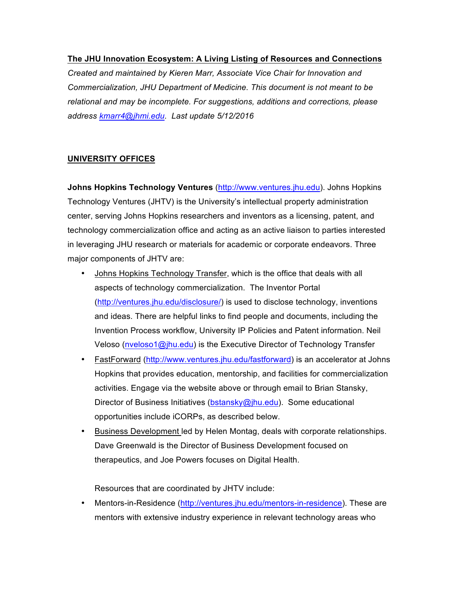### **The JHU Innovation Ecosystem: A Living Listing of Resources and Connections**

*Created and maintained by Kieren Marr, Associate Vice Chair for Innovation and Commercialization, JHU Department of Medicine. This document is not meant to be relational and may be incomplete. For suggestions, additions and corrections, please address kmarr4@jhmi.edu. Last update 5/12/2016*

### **UNIVERSITY OFFICES**

**Johns Hopkins Technology Ventures** (http://www.ventures.jhu.edu). Johns Hopkins Technology Ventures (JHTV) is the University's intellectual property administration center, serving Johns Hopkins researchers and inventors as a licensing, patent, and technology commercialization office and acting as an active liaison to parties interested in leveraging JHU research or materials for academic or corporate endeavors. Three major components of JHTV are:

- Johns Hopkins Technology Transfer, which is the office that deals with all aspects of technology commercialization. The Inventor Portal (http://ventures.jhu.edu/disclosure/) is used to disclose technology, inventions and ideas. There are helpful links to find people and documents, including the Invention Process workflow, University IP Policies and Patent information. Neil Veloso (nveloso1@jhu.edu) is the Executive Director of Technology Transfer
- FastForward (http://www.ventures.jhu.edu/fastforward) is an accelerator at Johns Hopkins that provides education, mentorship, and facilities for commercialization activities. Engage via the website above or through email to Brian Stansky, Director of Business Initiatives (bstansky@jhu.edu). Some educational opportunities include iCORPs, as described below.
- Business Development led by Helen Montag, deals with corporate relationships. Dave Greenwald is the Director of Business Development focused on therapeutics, and Joe Powers focuses on Digital Health.

Resources that are coordinated by JHTV include:

• Mentors-in-Residence (http://ventures.jhu.edu/mentors-in-residence). These are mentors with extensive industry experience in relevant technology areas who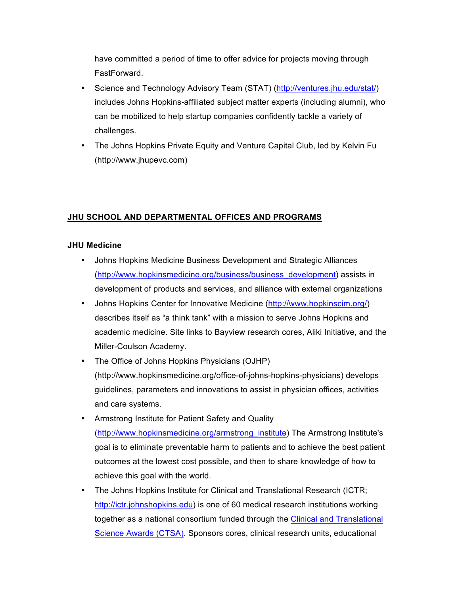have committed a period of time to offer advice for projects moving through FastForward.

- Science and Technology Advisory Team (STAT) (http://ventures.jhu.edu/stat/) includes Johns Hopkins-affiliated subject matter experts (including alumni), who can be mobilized to help startup companies confidently tackle a variety of challenges.
- The Johns Hopkins Private Equity and Venture Capital Club, led by Kelvin Fu (http://www.jhupevc.com)

# **JHU SCHOOL AND DEPARTMENTAL OFFICES AND PROGRAMS**

### **JHU Medicine**

- Johns Hopkins Medicine Business Development and Strategic Alliances (http://www.hopkinsmedicine.org/business/business\_development) assists in development of products and services, and alliance with external organizations
- Johns Hopkins Center for Innovative Medicine (http://www.hopkinscim.org/) describes itself as "a think tank" with a mission to serve Johns Hopkins and academic medicine. Site links to Bayview research cores, Aliki Initiative, and the Miller-Coulson Academy.
- The Office of Johns Hopkins Physicians (OJHP) (http://www.hopkinsmedicine.org/office-of-johns-hopkins-physicians) develops guidelines, parameters and innovations to assist in physician offices, activities and care systems.
- Armstrong Institute for Patient Safety and Quality (http://www.hopkinsmedicine.org/armstrong\_institute) The Armstrong Institute's goal is to eliminate preventable harm to patients and to achieve the best patient outcomes at the lowest cost possible, and then to share knowledge of how to achieve this goal with the world.
- The Johns Hopkins Institute for Clinical and Translational Research (ICTR; http://ictr.johnshopkins.edu) is one of 60 medical research institutions working together as a national consortium funded through the Clinical and Translational Science Awards (CTSA). Sponsors cores, clinical research units, educational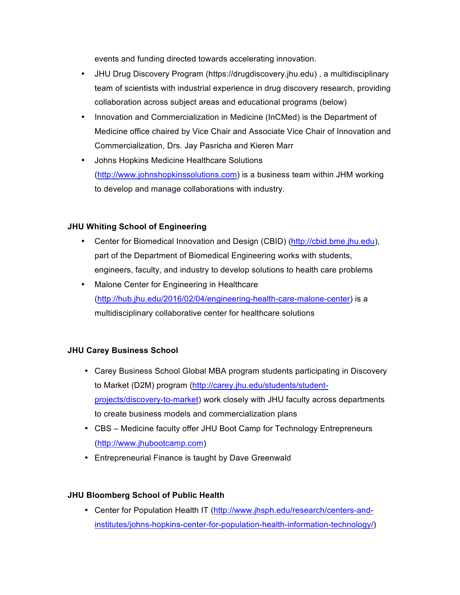events and funding directed towards accelerating innovation.

- JHU Drug Discovery Program (https://drugdiscovery.jhu.edu) , a multidisciplinary team of scientists with industrial experience in drug discovery research, providing collaboration across subject areas and educational programs (below)
- Innovation and Commercialization in Medicine (InCMed) is the Department of Medicine office chaired by Vice Chair and Associate Vice Chair of Innovation and Commercialization, Drs. Jay Pasricha and Kieren Marr
- Johns Hopkins Medicine Healthcare Solutions (http://www.johnshopkinssolutions.com) is a business team within JHM working to develop and manage collaborations with industry.

## **JHU Whiting School of Engineering**

- Center for Biomedical Innovation and Design (CBID) (http://cbid.bme.jhu.edu), part of the Department of Biomedical Engineering works with students, engineers, faculty, and industry to develop solutions to health care problems
- Malone Center for Engineering in Healthcare (http://hub.jhu.edu/2016/02/04/engineering-health-care-malone-center) is a multidisciplinary collaborative center for healthcare solutions

### **JHU Carey Business School**

- Carey Business School Global MBA program students participating in Discovery to Market (D2M) program (http://carey.jhu.edu/students/studentprojects/discovery-to-market) work closely with JHU faculty across departments to create business models and commercialization plans
- CBS Medicine faculty offer JHU Boot Camp for Technology Entrepreneurs (http://www.jhubootcamp.com)
- Entrepreneurial Finance is taught by Dave Greenwald

### **JHU Bloomberg School of Public Health**

• Center for Population Health IT (http://www.jhsph.edu/research/centers-andinstitutes/johns-hopkins-center-for-population-health-information-technology/)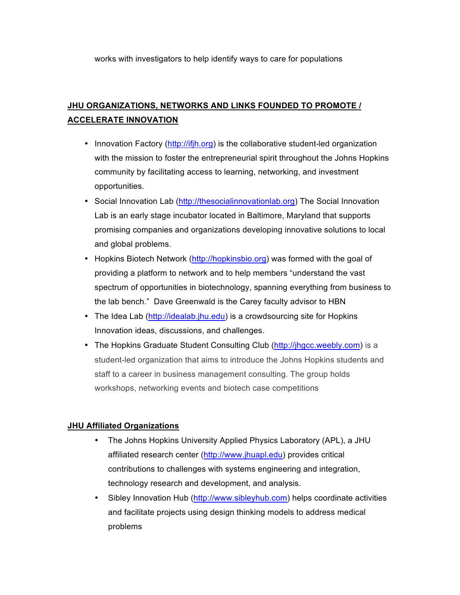works with investigators to help identify ways to care for populations

# **JHU ORGANIZATIONS, NETWORKS AND LINKS FOUNDED TO PROMOTE / ACCELERATE INNOVATION**

- Innovation Factory (http://ifjh.org) is the collaborative student-led organization with the mission to foster the entrepreneurial spirit throughout the Johns Hopkins community by facilitating access to learning, networking, and investment opportunities.
- Social Innovation Lab (http://thesocialinnovationlab.org) The Social Innovation Lab is an early stage incubator located in Baltimore, Maryland that supports promising companies and organizations developing innovative solutions to local and global problems.
- Hopkins Biotech Network (http://hopkinsbio.org) was formed with the goal of providing a platform to network and to help members "understand the vast spectrum of opportunities in biotechnology, spanning everything from business to the lab bench." Dave Greenwald is the Carey faculty advisor to HBN
- The Idea Lab (http://idealab.jhu.edu) is a crowdsourcing site for Hopkins Innovation ideas, discussions, and challenges.
- The Hopkins Graduate Student Consulting Club (http://jhgcc.weebly.com) is a student-led organization that aims to introduce the Johns Hopkins students and staff to a career in business management consulting. The group holds workshops, networking events and biotech case competitions

# **JHU Affiliated Organizations**

- The Johns Hopkins University Applied Physics Laboratory (APL), a JHU affiliated research center (http://www.jhuapl.edu) provides critical contributions to challenges with systems engineering and integration, technology research and development, and analysis.
- Sibley Innovation Hub (http://www.sibleyhub.com) helps coordinate activities and facilitate projects using design thinking models to address medical problems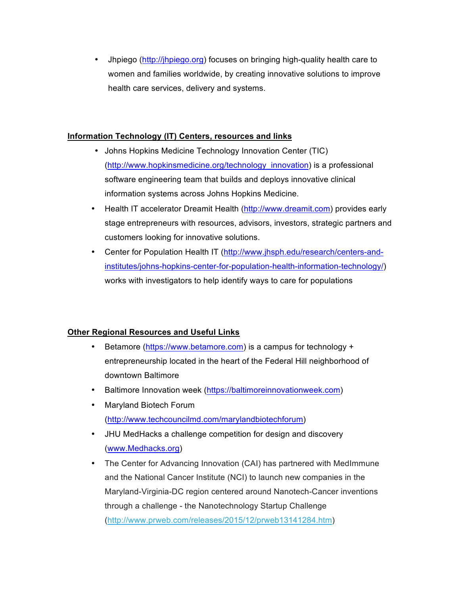• Jhpiego (http://jhpiego.org) focuses on bringing high-quality health care to women and families worldwide, by creating innovative solutions to improve health care services, delivery and systems.

## **Information Technology (IT) Centers, resources and links**

- Johns Hopkins Medicine Technology Innovation Center (TIC) (http://www.hopkinsmedicine.org/technology\_innovation) is a professional software engineering team that builds and deploys innovative clinical information systems across Johns Hopkins Medicine.
- Health IT accelerator Dreamit Health (http://www.dreamit.com) provides early stage entrepreneurs with resources, advisors, investors, strategic partners and customers looking for innovative solutions.
- Center for Population Health IT (http://www.jhsph.edu/research/centers-andinstitutes/johns-hopkins-center-for-population-health-information-technology/) works with investigators to help identify ways to care for populations

# **Other Regional Resources and Useful Links**

- Betamore (https://www.betamore.com) is a campus for technology + entrepreneurship located in the heart of the Federal Hill neighborhood of downtown Baltimore
- Baltimore Innovation week (https://baltimoreinnovationweek.com)
- Maryland Biotech Forum (http://www.techcouncilmd.com/marylandbiotechforum)
- JHU MedHacks a challenge competition for design and discovery (www.Medhacks.org)
- The Center for Advancing Innovation (CAI) has partnered with MedImmune and the National Cancer Institute (NCI) to launch new companies in the Maryland-Virginia-DC region centered around Nanotech-Cancer inventions through a challenge - the Nanotechnology Startup Challenge (http://www.prweb.com/releases/2015/12/prweb13141284.htm)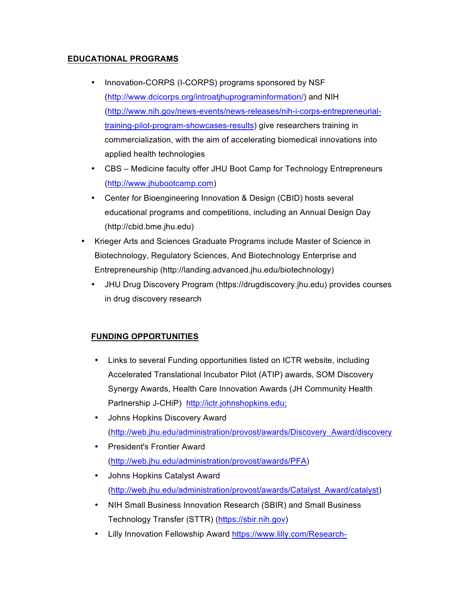## **EDUCATIONAL PROGRAMS**

- Innovation-CORPS (I-CORPS) programs sponsored by NSF (http://www.dcicorps.org/introatjhuprograminformation/) and NIH (http://www.nih.gov/news-events/news-releases/nih-i-corps-entrepreneurialtraining-pilot-program-showcases-results) give researchers training in commercialization, with the aim of accelerating biomedical innovations into applied health technologies
- CBS Medicine faculty offer JHU Boot Camp for Technology Entrepreneurs (http://www.jhubootcamp.com)
- Center for Bioengineering Innovation & Design (CBID) hosts several educational programs and competitions, including an Annual Design Day (http://cbid.bme.jhu.edu)
- Krieger Arts and Sciences Graduate Programs include Master of Science in Biotechnology, Regulatory Sciences, And Biotechnology Enterprise and Entrepreneurship (http://landing.advanced.jhu.edu/biotechnology)
	- JHU Drug Discovery Program (https://drugdiscovery.jhu.edu) provides courses in drug discovery research

# **FUNDING OPPORTUNITIES**

- Links to several Funding opportunities listed on ICTR website, including Accelerated Translational Incubator Pilot (ATIP) awards, SOM Discovery Synergy Awards, Health Care Innovation Awards (JH Community Health Partnership J-CHiP) http://ictr.johnshopkins.edu;
- Johns Hopkins Discovery Award (http://web.jhu.edu/administration/provost/awards/Discovery\_Award/discovery
- President's Frontier Award (http://web.jhu.edu/administration/provost/awards/PFA)
- Johns Hopkins Catalyst Award (http://web.jhu.edu/administration/provost/awards/Catalyst\_Award/catalyst)
- NIH Small Business Innovation Research (SBIR) and Small Business Technology Transfer (STTR) (https://sbir.nih.gov)
- Lilly Innovation Fellowship Award https://www.lilly.com/Research-